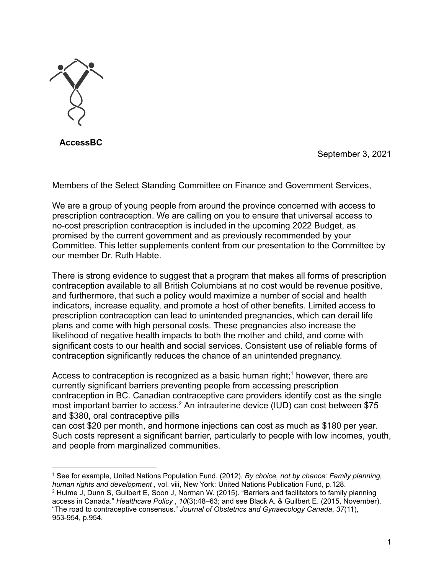

**AccessBC**

September 3, 2021

Members of the Select Standing Committee on Finance and Government Services,

We are a group of young people from around the province concerned with access to prescription contraception. We are calling on you to ensure that universal access to no-cost prescription contraception is included in the upcoming 2022 Budget, as promised by the current government and as previously recommended by your Committee. This letter supplements content from our presentation to the Committee by our member Dr. Ruth Habte.

There is strong evidence to suggest that a program that makes all forms of prescription contraception available to all British Columbians at no cost would be revenue positive, and furthermore, that such a policy would maximize a number of social and health indicators, increase equality, and promote a host of other benefits. Limited access to prescription contraception can lead to unintended pregnancies, which can derail life plans and come with high personal costs. These pregnancies also increase the likelihood of negative health impacts to both the mother and child, and come with significant costs to our health and social services. Consistent use of reliable forms of contraception significantly reduces the chance of an unintended pregnancy.

Access to contraception is recognized as a basic human right;<sup>1</sup> however, there are currently significant barriers preventing people from accessing prescription contraception in BC. Canadian contraceptive care providers identify cost as the single most important barrier to access.<sup>2</sup> An intrauterine device (IUD) can cost between \$75 and \$380, oral contraceptive pills

can cost \$20 per month, and hormone injections can cost as much as \$180 per year. Such costs represent a significant barrier, particularly to people with low incomes, youth, and people from marginalized communities.

<sup>1</sup> See for example, United Nations Population Fund. (2012). *By choice, not by chance: Family planning, human rights and development* , vol. viii, New York: United Nations Publication Fund, p.128.

<sup>2</sup> Hulme J, Dunn S, Guilbert E, Soon J, Norman W. (2015). "Barriers and facilitators to family planning access in Canada." *Healthcare Policy* , *10*(3):48–63; and see Black A. & Guilbert E. (2015, November). "The road to contraceptive consensus." *Journal of Obstetrics and Gynaecology Canada*, *37*(11), 953-954, p.954.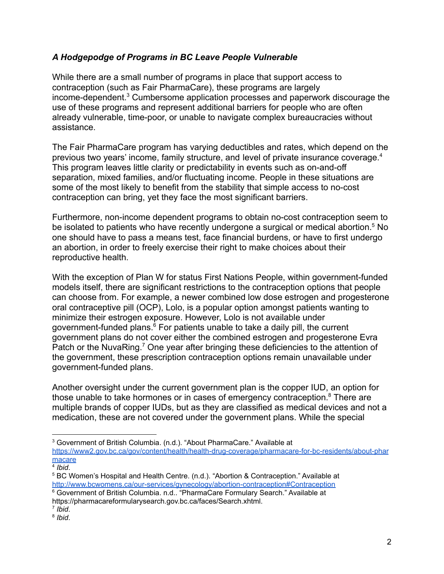### *A Hodgepodge of Programs in BC Leave People Vulnerable*

While there are a small number of programs in place that support access to contraception (such as Fair PharmaCare), these programs are largely income-dependent.<sup>3</sup> Cumbersome application processes and paperwork discourage the use of these programs and represent additional barriers for people who are often already vulnerable, time-poor, or unable to navigate complex bureaucracies without assistance.

The Fair PharmaCare program has varying deductibles and rates, which depend on the previous two years' income, family structure, and level of private insurance coverage.<sup>4</sup> This program leaves little clarity or predictability in events such as on-and-off separation, mixed families, and/or fluctuating income. People in these situations are some of the most likely to benefit from the stability that simple access to no-cost contraception can bring, yet they face the most significant barriers.

Furthermore, non-income dependent programs to obtain no-cost contraception seem to be isolated to patients who have recently undergone a surgical or medical abortion.<sup>5</sup> No one should have to pass a means test, face financial burdens, or have to first undergo an abortion, in order to freely exercise their right to make choices about their reproductive health.

With the exception of Plan W for status First Nations People, within government-funded models itself, there are significant restrictions to the contraception options that people can choose from. For example, a newer combined low dose estrogen and progesterone oral contraceptive pill (OCP), Lolo, is a popular option amongst patients wanting to minimize their estrogen exposure. However, Lolo is not available under government-funded plans. $6$  For patients unable to take a daily pill, the current government plans do not cover either the combined estrogen and progesterone Evra Patch or the NuvaRing.<sup>7</sup> One year after bringing these deficiencies to the attention of the government, these prescription contraception options remain unavailable under government-funded plans.

Another oversight under the current government plan is the copper IUD, an option for those unable to take hormones or in cases of emergency contraception.<sup>8</sup> There are multiple brands of copper IUDs, but as they are classified as medical devices and not a medication, these are not covered under the government plans. While the special

<sup>3</sup> Government of British Columbia. (n.d.). "About PharmaCare." Available at [https://www2.gov.bc.ca/gov/content/health/health-drug-coverage/pharmacare-for-bc-residents/about-phar](https://www2.gov.bc.ca/gov/content/health/health-drug-coverage/pharmacare-for-bc-residents/about-pharmacare) [macare](https://www2.gov.bc.ca/gov/content/health/health-drug-coverage/pharmacare-for-bc-residents/about-pharmacare)

<sup>4</sup> *Ibid*.

<sup>6</sup> Government of British Columbia. n.d.. "PharmaCare Formulary Search." Available at <sup>5</sup> BC Women's Hospital and Health Centre. (n.d.). "Abortion & Contraception." Available at <http://www.bcwomens.ca/our-services/gynecology/abortion-contraception#Contraception>

https://pharmacareformularysearch.gov.bc.ca/faces/Search.xhtml.

<sup>7</sup> *Ibid*.

<sup>8</sup> *Ibid*.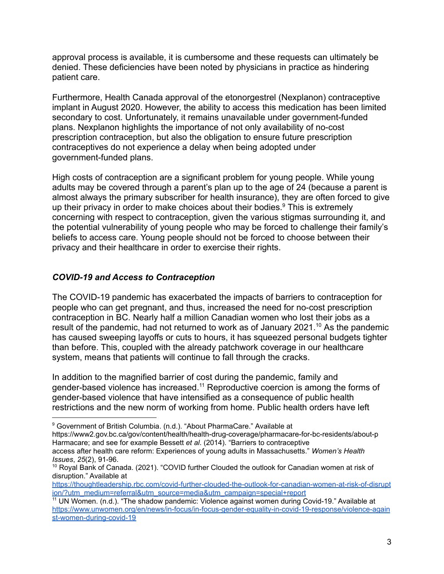approval process is available, it is cumbersome and these requests can ultimately be denied. These deficiencies have been noted by physicians in practice as hindering patient care.

Furthermore, Health Canada approval of the etonorgestrel (Nexplanon) contraceptive implant in August 2020. However, the ability to access this medication has been limited secondary to cost. Unfortunately, it remains unavailable under government-funded plans. Nexplanon highlights the importance of not only availability of no-cost prescription contraception, but also the obligation to ensure future prescription contraceptives do not experience a delay when being adopted under government-funded plans.

High costs of contraception are a significant problem for young people. While young adults may be covered through a parent's plan up to the age of 24 (because a parent is almost always the primary subscriber for health insurance), they are often forced to give up their privacy in order to make choices about their bodies.<sup>9</sup> This is extremely concerning with respect to contraception, given the various stigmas surrounding it, and the potential vulnerability of young people who may be forced to challenge their family's beliefs to access care. Young people should not be forced to choose between their privacy and their healthcare in order to exercise their rights.

### *COVID-19 and Access to Contraception*

The COVID-19 pandemic has exacerbated the impacts of barriers to contraception for people who can get pregnant, and thus, increased the need for no-cost prescription contraception in BC. Nearly half a million Canadian women who lost their jobs as a result of the pandemic, had not returned to work as of January 2021.<sup>10</sup> As the pandemic has caused sweeping layoffs or cuts to hours, it has squeezed personal budgets tighter than before. This, coupled with the already patchwork coverage in our healthcare system, means that patients will continue to fall through the cracks.

In addition to the magnified barrier of cost during the pandemic, family and gender-based violence has increased.<sup>11</sup> Reproductive coercion is among the forms of gender-based violence that have intensified as a consequence of public health restrictions and the new norm of working from home. Public health orders have left

https://www2.gov.bc.ca/gov/content/health/health-drug-coverage/pharmacare-for-bc-residents/about-p Harmacare; and see for example Bessett *et al*. (2014). "Barriers to contraceptive

<sup>&</sup>lt;sup>9</sup> Government of British Columbia. (n.d.). "About PharmaCare." Available at

access after health care reform: Experiences of young adults in Massachusetts." *Women's Health Issues*, *25*(2), 91-96.

<sup>&</sup>lt;sup>10</sup> Royal Bank of Canada. (2021). "COVID further Clouded the outlook for Canadian women at risk of disruption." Available at

[https://thoughtleadership.rbc.com/covid-further-clouded-the-outlook-for-canadian-women-at-risk-of-disrupt](https://thoughtleadership.rbc.com/covid-further-clouded-the-outlook-for-canadian-women-at-risk-of-disruption/?utm_medium=referral&utm_source=media&utm_campaign=special+report) [ion/?utm\\_medium=referral&utm\\_source=media&utm\\_campaign=special+report](https://thoughtleadership.rbc.com/covid-further-clouded-the-outlook-for-canadian-women-at-risk-of-disruption/?utm_medium=referral&utm_source=media&utm_campaign=special+report)

 $11$  UN Women. (n.d.). "The shadow pandemic: Violence against women during Covid-19." Available at [https://www.unwomen.org/en/news/in-focus/in-focus-gender-equality-in-covid-19-response/violence-again](https://www.unwomen.org/en/news/in-focus/in-focus-gender-equality-in-covid-19-response/violence-against-women-during-covid-19) [st-women-during-covid-19](https://www.unwomen.org/en/news/in-focus/in-focus-gender-equality-in-covid-19-response/violence-against-women-during-covid-19)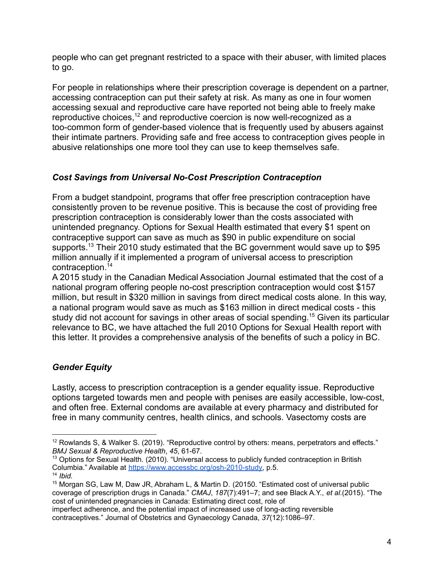people who can get pregnant restricted to a space with their abuser, with limited places to go.

For people in relationships where their prescription coverage is dependent on a partner, accessing contraception can put their safety at risk. As many as one in four women accessing sexual and reproductive care have reported not being able to freely make reproductive choices,<sup>12</sup> and reproductive coercion is now well-recognized as a too-common form of gender-based violence that is frequently used by abusers against their intimate partners. Providing safe and free access to contraception gives people in abusive relationships one more tool they can use to keep themselves safe.

# *Cost Savings from Universal No-Cost Prescription Contraception*

From a budget standpoint, programs that offer free prescription contraception have consistently proven to be revenue positive. This is because the cost of providing free prescription contraception is considerably lower than the costs associated with unintended pregnancy. Options for Sexual Health estimated that every \$1 spent on contraceptive support can save as much as \$90 in public expenditure on social supports.<sup>13</sup> Their 2010 study estimated that the BC government would save up to \$95 million annually if it implemented a program of universal access to prescription contraception.<sup>14</sup>

A 2015 study in the Canadian Medical Association Journal estimated that the cost of a national program offering people no-cost prescription contraception would cost \$157 million, but result in \$320 million in savings from direct medical costs alone. In this way, a national program would save as much as \$163 million in direct medical costs - this study did not account for savings in other areas of social spending.<sup>15</sup> Given its particular relevance to BC, we have attached the full 2010 Options for Sexual Health report with this letter. It provides a comprehensive analysis of the benefits of such a policy in BC.

# *Gender Equity*

Lastly, access to prescription contraception is a gender equality issue. Reproductive options targeted towards men and people with penises are easily accessible, low-cost, and often free. External condoms are available at every pharmacy and distributed for free in many community centres, health clinics, and schools. Vasectomy costs are

<sup>&</sup>lt;sup>12</sup> Rowlands S, & Walker S. (2019). "Reproductive control by others: means, perpetrators and effects." *BMJ Sexual & Reproductive Health*, *45*, 61-67.

<sup>&</sup>lt;sup>13</sup> Options for Sexual Health. (2010). "Universal access to publicly funded contraception in British Columbia." Available at [https://www.accessbc.org/osh-2010-study,](https://www.accessbc.org/osh-2010-study) p.5.

<sup>14</sup> *Ibid.*

<sup>&</sup>lt;sup>15</sup> Morgan SG, Law M, Daw JR, Abraham L, & Martin D. (20150. "Estimated cost of universal public coverage of prescription drugs in Canada." *CMAJ*, *187*(7):491–7; and see Black A.Y., *et al*.(2015). "The cost of unintended pregnancies in Canada: Estimating direct cost, role of

imperfect adherence, and the potential impact of increased use of long-acting reversible contraceptives." Journal of Obstetrics and Gynaecology Canada, *37*(12):1086–97.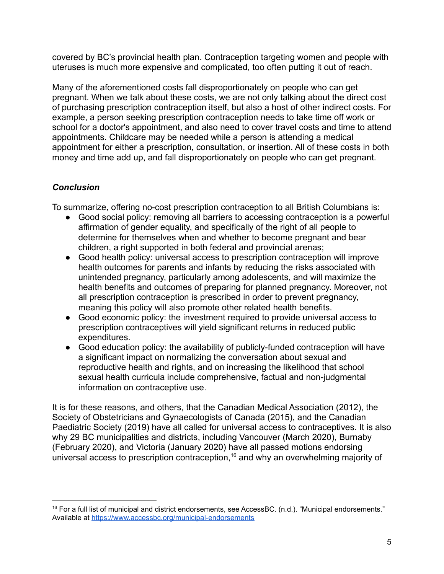covered by BC's provincial health plan. Contraception targeting women and people with uteruses is much more expensive and complicated, too often putting it out of reach.

Many of the aforementioned costs fall disproportionately on people who can get pregnant. When we talk about these costs, we are not only talking about the direct cost of purchasing prescription contraception itself, but also a host of other indirect costs. For example, a person seeking prescription contraception needs to take time off work or school for a doctor's appointment, and also need to cover travel costs and time to attend appointments. Childcare may be needed while a person is attending a medical appointment for either a prescription, consultation, or insertion. All of these costs in both money and time add up, and fall disproportionately on people who can get pregnant.

# *Conclusion*

To summarize, offering no-cost prescription contraception to all British Columbians is:

- Good social policy: removing all barriers to accessing contraception is a powerful affirmation of gender equality, and specifically of the right of all people to determine for themselves when and whether to become pregnant and bear children, a right supported in both federal and provincial arenas;
- Good health policy: universal access to prescription contraception will improve health outcomes for parents and infants by reducing the risks associated with unintended pregnancy, particularly among adolescents, and will maximize the health benefits and outcomes of preparing for planned pregnancy. Moreover, not all prescription contraception is prescribed in order to prevent pregnancy, meaning this policy will also promote other related health benefits.
- Good economic policy: the investment required to provide universal access to prescription contraceptives will yield significant returns in reduced public expenditures.
- Good education policy: the availability of publicly-funded contraception will have a significant impact on normalizing the conversation about sexual and reproductive health and rights, and on increasing the likelihood that school sexual health curricula include comprehensive, factual and non-judgmental information on contraceptive use.

It is for these reasons, and others, that the Canadian Medical Association (2012), the Society of Obstetricians and Gynaecologists of Canada (2015), and the Canadian Paediatric Society (2019) have all called for universal access to contraceptives. It is also why 29 BC municipalities and districts, including Vancouver (March 2020), Burnaby (February 2020), and Victoria (January 2020) have all passed motions endorsing universal access to prescription contraception,<sup>16</sup> and why an overwhelming majority of

 $16$  For a full list of municipal and district endorsements, see AccessBC. (n.d.). "Municipal endorsements." Available at <https://www.accessbc.org/municipal-endorsements>